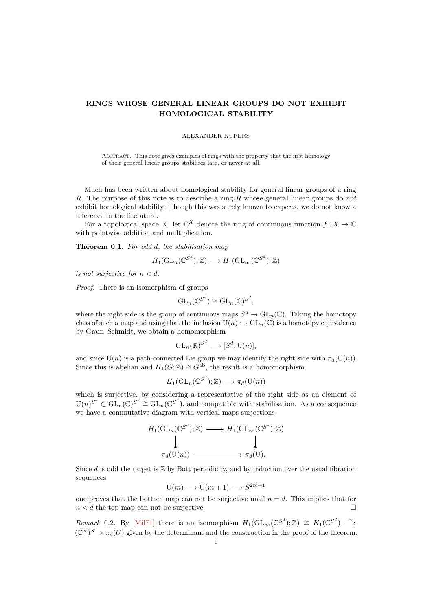# <span id="page-0-0"></span>**RINGS WHOSE GENERAL LINEAR GROUPS DO NOT EXHIBIT HOMOLOGICAL STABILITY**

### ALEXANDER KUPERS

Abstract. This note gives examples of rings with the property that the first homology of their general linear groups stabilises late, or never at all.

Much has been written about homological stability for general linear groups of a ring *R*. The purpose of this note is to describe a ring *R* whose general linear groups do *not* exhibit homological stability. Though this was surely known to experts, we do not know a reference in the literature.

For a topological space X, let  $\mathbb{C}^X$  denote the ring of continuous function  $f: X \to \mathbb{C}$ with pointwise addition and multiplication.

**Theorem 0.1.** *For odd d, the stabilisation map*

$$
H_1(\mathrm{GL}_n(\mathbb{C}^{S^d}); \mathbb{Z}) \longrightarrow H_1(\mathrm{GL}_{\infty}(\mathbb{C}^{S^d}); \mathbb{Z})
$$

*is not surjective for*  $n < d$ *.* 

*Proof.* There is an isomorphism of groups

$$
\mathrm{GL}_n(\mathbb{C}^{S^d}) \cong \mathrm{GL}_n(\mathbb{C})^{S^d},
$$

where the right side is the group of continuous maps  $S^d \to GL_n(\mathbb{C})$ . Taking the homotopy class of such a map and using that the inclusion  $U(n) \hookrightarrow GL_n(\mathbb{C})$  is a homotopy equivalence by Gram–Schmidt, we obtain a homomorphism

$$
\mathrm{GL}_n(\mathbb{R})^{S^d} \longrightarrow [S^d, \mathrm{U}(n)],
$$

and since  $U(n)$  is a path-connected Lie group we may identify the right side with  $\pi_d(U(n))$ . Since this is abelian and  $H_1(G;\mathbb{Z}) \cong G^{\text{ab}}$ , the result is a homomorphism

$$
H_1(\mathrm{GL}_n(\mathbb{C}^{S^d}); \mathbb{Z}) \longrightarrow \pi_d(\mathrm{U}(n))
$$

which is surjective, by considering a representative of the right side as an element of  $U(n)^{S^d} \subset GL_n(\mathbb{C})^{S^d} \cong GL_n(\mathbb{C}^{S^d})$ , and compatible with stabilisation. As a consequence we have a commutative diagram with vertical maps surjections

$$
H_1(\mathrm{GL}_n(\mathbb{C}^{S^d}); \mathbb{Z}) \longrightarrow H_1(\mathrm{GL}_{\infty}(\mathbb{C}^{S^d}); \mathbb{Z})
$$
  
\n
$$
\downarrow \qquad \qquad \downarrow
$$
  
\n
$$
\pi_d(\mathrm{U}(n)) \longrightarrow \pi_d(\mathrm{U}).
$$

Since  $d$  is odd the target is  $\mathbb Z$  by Bott periodicity, and by induction over the usual fibration sequences

$$
U(m) \longrightarrow U(m+1) \longrightarrow S^{2m+1}
$$

one proves that the bottom map can not be surjective until  $n = d$ . This implies that for  $n < d$  the top map can not be surjective.

*Remark* 0.2. By [\[Mil71\]](#page-1-0) there is an isomorphism  $H_1(\text{GL}_{\infty}(\mathbb{C}^{S^d}); \mathbb{Z}) \cong K_1(\mathbb{C}^{S^d}) \longrightarrow$  $(\mathbb{C}^{\times})^{S^d} \times \pi_d(U)$  given by the determinant and the construction in the proof of the theorem.